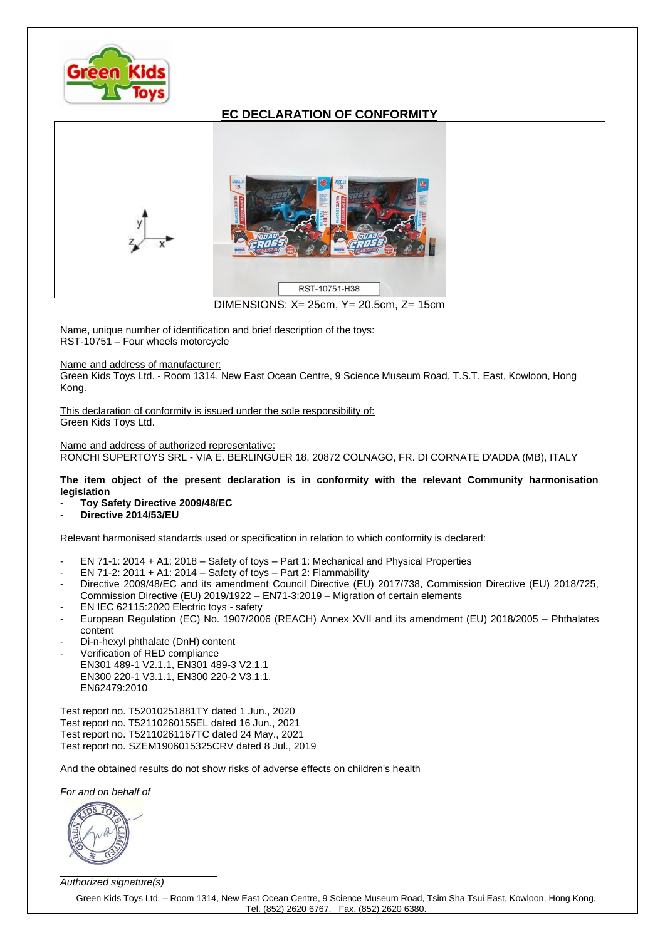

## **EC DECLARATION OF CONFORMITY**



DIMENSIONS: X= 25cm, Y= 20.5cm, Z= 15cm

Name, unique number of identification and brief description of the toys: RST-10751 – Four wheels motorcycle

## Name and address of manufacturer:

Green Kids Toys Ltd. - Room 1314, New East Ocean Centre, 9 Science Museum Road, T.S.T. East, Kowloon, Hong Kong.

This declaration of conformity is issued under the sole responsibility of: Green Kids Toys Ltd.

Name and address of authorized representative: RONCHI SUPERTOYS SRL - VIA E. BERLINGUER 18, 20872 COLNAGO, FR. DI CORNATE D'ADDA (MB), ITALY

**The item object of the present declaration is in conformity with the relevant Community harmonisation legislation**

- **Toy Safety Directive 2009/48/EC**
- **Directive 2014/53/EU**

Relevant harmonised standards used or specification in relation to which conformity is declared:

- EN 71-1: 2014 + A1: 2018 Safety of toys Part 1: Mechanical and Physical Properties
- EN 71-2: 2011 + A1: 2014 Safety of toys Part 2: Flammability
- Directive 2009/48/EC and its amendment Council Directive (EU) 2017/738, Commission Directive (EU) 2018/725, Commission Directive (EU) 2019/1922 – EN71-3:2019 – Migration of certain elements
- EN IEC 62115:2020 Electric toys safety
- European Regulation (EC) No. 1907/2006 (REACH) Annex XVII and its amendment (EU) 2018/2005 Phthalates content
- Di-n-hexyl phthalate (DnH) content
- Verification of RED compliance EN301 489-1 V2.1.1, EN301 489-3 V2.1.1 EN300 220-1 V3.1.1, EN300 220-2 V3.1.1, EN62479:2010

Test report no. T52010251881TY dated 1 Jun., 2020 Test report no. T52110260155EL dated 16 Jun., 2021 Test report no. T52110261167TC dated 24 May., 2021 Test report no. SZEM1906015325CRV dated 8 Jul., 2019

And the obtained results do not show risks of adverse effects on children's health

*For and on behalf of*



*Authorized signature(s)*